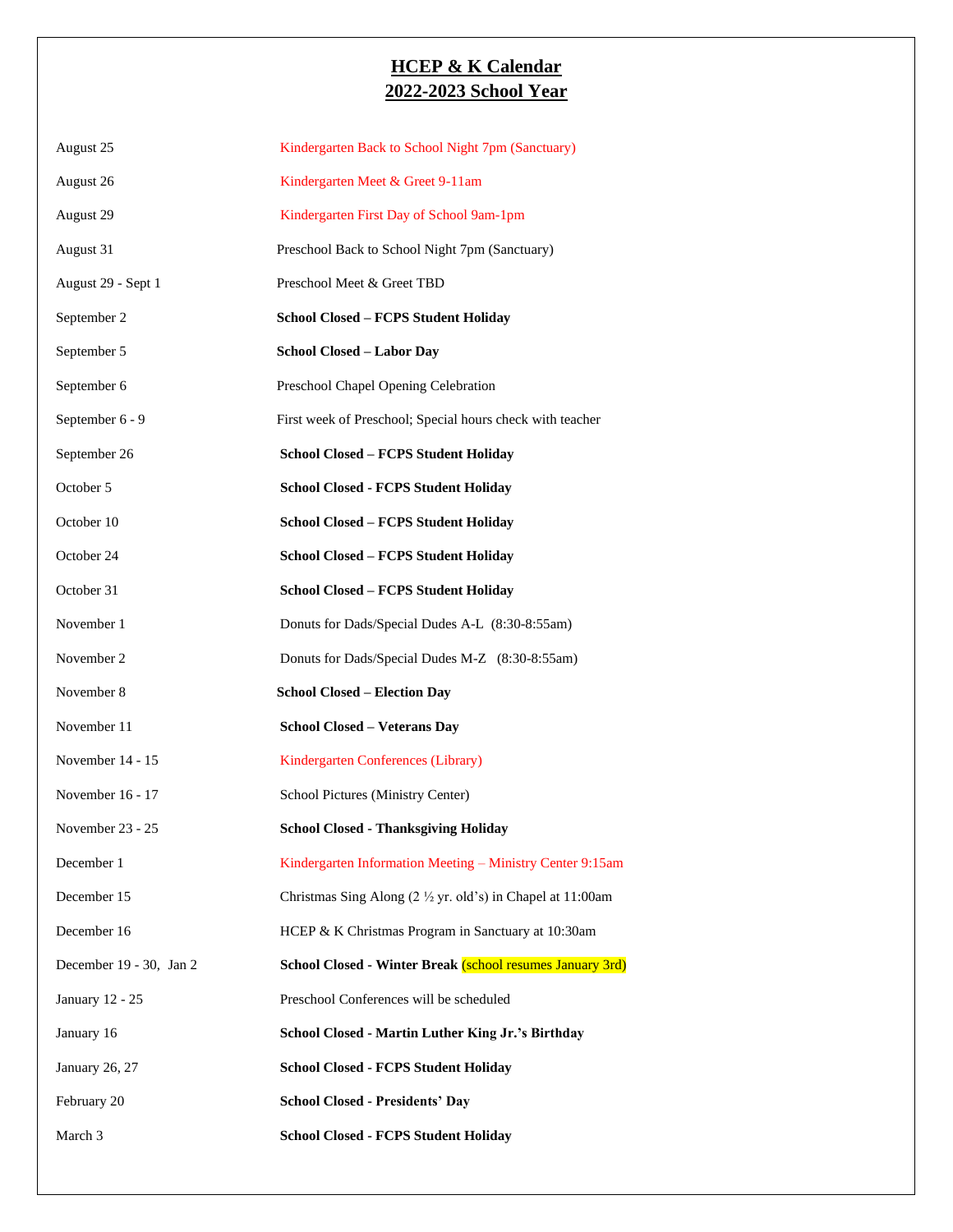## **HCEP & K Calendar 2022-2023 School Year**

| August 25               | Kindergarten Back to School Night 7pm (Sanctuary)                             |
|-------------------------|-------------------------------------------------------------------------------|
| August 26               | Kindergarten Meet & Greet 9-11am                                              |
| August 29               | Kindergarten First Day of School 9am-1pm                                      |
| August 31               | Preschool Back to School Night 7pm (Sanctuary)                                |
| August 29 - Sept 1      | Preschool Meet & Greet TBD                                                    |
| September 2             | School Closed - FCPS Student Holiday                                          |
| September 5             | School Closed - Labor Day                                                     |
| September 6             | Preschool Chapel Opening Celebration                                          |
| September 6 - 9         | First week of Preschool; Special hours check with teacher                     |
| September 26            | <b>School Closed - FCPS Student Holiday</b>                                   |
| October 5               | <b>School Closed - FCPS Student Holiday</b>                                   |
| October 10              | School Closed - FCPS Student Holiday                                          |
| October 24              | School Closed - FCPS Student Holiday                                          |
| October 31              | School Closed - FCPS Student Holiday                                          |
| November 1              | Donuts for Dads/Special Dudes A-L (8:30-8:55am)                               |
| November 2              | Donuts for Dads/Special Dudes M-Z (8:30-8:55am)                               |
| November 8              | <b>School Closed – Election Day</b>                                           |
| November 11             | <b>School Closed - Veterans Day</b>                                           |
| November 14 - 15        | Kindergarten Conferences (Library)                                            |
| November 16 - 17        | School Pictures (Ministry Center)                                             |
| November 23 - 25        | <b>School Closed - Thanksgiving Holiday</b>                                   |
| December 1              | Kindergarten Information Meeting - Ministry Center 9:15am                     |
| December 15             | Christmas Sing Along $(2 \frac{1}{2} \text{ yr. old's})$ in Chapel at 11:00am |
| December 16             | HCEP & K Christmas Program in Sanctuary at 10:30am                            |
| December 19 - 30, Jan 2 | School Closed - Winter Break (school resumes January 3rd)                     |
| January 12 - 25         | Preschool Conferences will be scheduled                                       |
| January 16              | School Closed - Martin Luther King Jr.'s Birthday                             |
| January 26, 27          | <b>School Closed - FCPS Student Holiday</b>                                   |
| February 20             | <b>School Closed - Presidents' Day</b>                                        |
| March 3                 | <b>School Closed - FCPS Student Holiday</b>                                   |